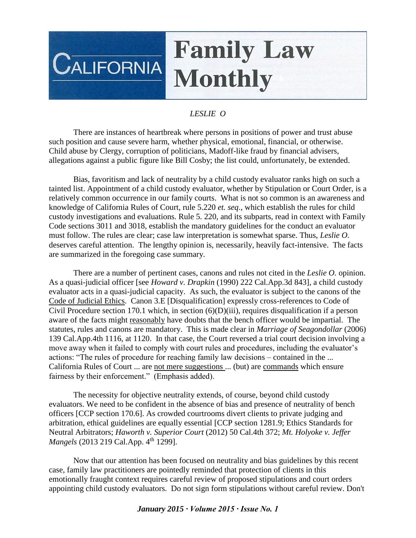## **Family Law**  $\overline{\text{CALIFORNIA}}$ **Monthly**

## *LESLIE O*

There are instances of heartbreak where persons in positions of power and trust abuse such position and cause severe harm, whether physical, emotional, financial, or otherwise. Child abuse by Clergy, corruption of politicians, Madoff-like fraud by financial advisers, allegations against a public figure like Bill Cosby; the list could, unfortunately, be extended.

Bias, favoritism and lack of neutrality by a child custody evaluator ranks high on such a tainted list. Appointment of a child custody evaluator, whether by Stipulation or Court Order, is a relatively common occurrence in our family courts. What is not so common is an awareness and knowledge of California Rules of Court, rule 5.220 *et. seq*., which establish the rules for child custody investigations and evaluations. Rule 5. 220, and its subparts, read in context with Family Code sections 3011 and 3018, establish the mandatory guidelines for the conduct an evaluator must follow. The rules are clear; case law interpretation is somewhat sparse. Thus, *Leslie O.* deserves careful attention. The lengthy opinion is, necessarily, heavily fact-intensive. The facts are summarized in the foregoing case summary.

There are a number of pertinent cases, canons and rules not cited in the *Leslie O.* opinion. As a quasi-judicial officer [see *Howard v. Drapkin* (1990) 222 Cal.App.3d 843], a child custody evaluator acts in a quasi-judicial capacity. As such, the evaluator is subject to the canons of the Code of Judicial Ethics. Canon 3.E [Disqualification] expressly cross-references to Code of Civil Procedure section 170.1 which, in section (6)(D)(iii), requires disqualification if a person aware of the facts might reasonably have doubts that the bench officer would be impartial. The statutes, rules and canons are mandatory. This is made clear in *Marriage of Seagondollar* (2006) 139 Cal.App.4th 1116, at 1120. In that case, the Court reversed a trial court decision involving a move away when it failed to comply with court rules and procedures, including the evaluator's actions: "The rules of procedure for reaching family law decisions – contained in the ... California Rules of Court ... are not mere suggestions ... (but) are commands which ensure fairness by their enforcement." (Emphasis added).

The necessity for objective neutrality extends, of course, beyond child custody evaluators. We need to be confident in the absence of bias and presence of neutrality of bench officers [CCP section 170.6]. As crowded courtrooms divert clients to private judging and arbitration, ethical guidelines are equally essential [CCP section 1281.9; Ethics Standards for Neutral Arbitrators; *Haworth v. Superior Court* (2012) 50 Cal.4th 372; *Mt. Holyoke v. Jeffer Mangels* (2013 219 Cal.App. 4<sup>th</sup> 1299].

Now that our attention has been focused on neutrality and bias guidelines by this recent case, family law practitioners are pointedly reminded that protection of clients in this emotionally fraught context requires careful review of proposed stipulations and court orders appointing child custody evaluators. Do not sign form stipulations without careful review. Don't

## *January 2015 ∙ Volume 2015 ∙ Issue No. 1*